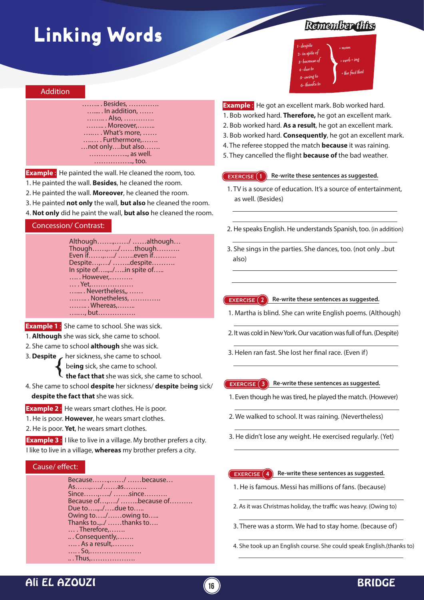# Linking Words

#### Addition

#### …….. . Besides, …………. ….... . In addition, …… …….. . Also, …………. …….. . Moreover,…….. ….… . What's more, …… ….… . Furthermore,……. …not only….but also……. …………….., as well. …………….., too.

**Example**: He painted the wall. He cleaned the room, too.

- 1. He painted the wall. **Besides**, he cleaned the room.
- 2. He painted the wall. **Moreover**, he cleaned the room.
- 3. He painted **not only** the wall, **but also** he cleaned the room.
- 4. **Not only** did he paint the wall, **but also** he cleaned the room.

#### Concession/ Contrast:

| Although,/ although                |  |
|------------------------------------|--|
| Though,/though                     |  |
| Even if,/ even if                  |  |
| Despite,/ despite                  |  |
| In spite of/in spite of            |  |
| However,                           |  |
| . Yet,                             |  |
| $\ldots$ . Nevertheless $\ldots$ . |  |
| Nonetheless,                       |  |
| Whereas,                           |  |
| , but                              |  |
|                                    |  |

**Example 1** : She came to school. She was sick.

- 1. **Although** she was sick, she came to school.
- 2. She came to school **although** she was sick.
- 3. **Despite** her sickness, she came to school.

be**ing** sick, she came to school.

**the fact that** she was sick, she came to school.

4. She came to school **despite** her sickness/ **despite** be**ing** sick/ **despite the fact that** she was sick.

**Example 2** : He wears smart clothes. He is poor.

- 1. He is poor. **However**, he wears smart clothes.
- 2. He is poor. **Yet**, he wears smart clothes.

**Example 3** : I like to live in a village. My brother prefers a city. I like to live in a village, **whereas** my brother prefers a city.

#### Cause/ effect:

Because…….,……/ ……because… As……,…../……as………. Since……,…../ …….since………. Because of…,…./ ……..because of………. Due to…..,../…..due to….. Owing to…../……owing to….. Thanks to..,../ ……thanks to…. … . Therefore,……. .. . Consequently,……. …. . As a result,……… …. . So,…………………. .. . Thus,……………….

## *Remember this:*

1- despite 2- in spite of 3- because of 4- due to 5- owing to 6- thanks to + noun + verb + ing  $+$  the fact that

**Example**: He got an excellent mark. Bob worked hard. 1. Bob worked hard. **Therefore,** he got an excellent mark. 2. Bob worked hard. **As a result**, he got an excellent mark. 3. Bob worked hard. **Consequently**, he got an excellent mark. 4. The referee stopped the match **because** it was raining. 5. They cancelled the flight **because of** the bad weather.

#### **EXERCISE 1 Re-write these sentences as suggested.**

- 1. TV is a source of education. It's a source of entertainment, as well. (Besides)
- 2. He speaks English. He understands Spanish, too. (in addition)
- 3. She sings in the parties. She dances, too. (not only ..but also)

#### **EXERCISE 2** Re-write these sentences as suggested.

- 1. Martha is blind. She can write English poems. (Although)
- 2. It was cold in New York. Our vacation was full of fun. (Despite)
- 3. Helen ran fast. She lost her final race. (Even if)

#### **EXERCISE 3 Re-write these sentences as suggested.**

- 1. Even though he was tired, he played the match. (However)
- 2. We walked to school. It was raining. (Nevertheless)
- 3. He didn't lose any weight. He exercised regularly. (Yet)

#### **EXERCISE 4 Re-write these sentences as suggested.**

- 1. He is famous. Messi has millions of fans. (because)
- 2. As it was Christmas holiday, the traffic was heavy. (Owing to)
- 3. There was a storm. We had to stay home. (because of)
- 4. She took up an English course. She could speak English.(thanks to)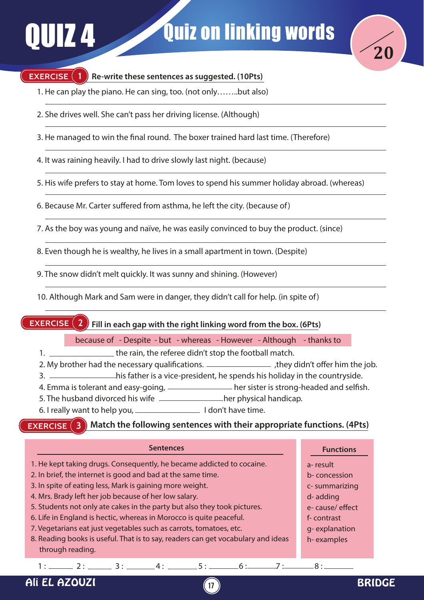

### **EXERCISE** (1) Re-write these sentences as suggested. (10Pts)

- 1. He can play the piano. He can sing, too. (not only……..but also)
- 2. She drives well. She can't pass her driving license. (Although)
- 3. He managed to win the final round. The boxer trained hard last time. (Therefore)

4. It was raining heavily. I had to drive slowly last night. (because)

5. His wife prefers to stay at home. Tom loves to spend his summer holiday abroad. (whereas)

- 6. Because Mr. Carter suffered from asthma, he left the city. (because of)
- 7. As the boy was young and naïve, he was easily convinced to buy the product. (since)

8. Even though he is wealthy, he lives in a small apartment in town. (Despite)

9. The snow didn't melt quickly. It was sunny and shining. (However)

10. Although Mark and Sam were in danger, they didn't call for help. (in spite of)

**EXERCISE Fill in each gap with the right linking word from the box. (6Pts)**

because of - Despite - but - whereas - However - Although - thanks to

1. <u>Illect the rain</u>, the referee didn't stop the football match.

- 2. My brother had the necessary qualifications. \_\_\_\_\_\_\_\_\_\_\_\_\_\_\_\_\_\_\_\_\_, they didn't offer him the job.
- 3.  $\frac{1}{100}$  his father is a vice-president, he spends his holiday in the countryside.
- 4. Emma is tolerant and easy-going, <u>entitled and self and selfish.</u>
- 5. The husband divorced his wife **hereafted** her physical handicap.
- 6. I really want to help you, <u>I consequently</u> I don't have time.

**EXERCISE 3 B** ) Match the following sentences with their appropriate functions. (4Pts)

| <b>Sentences</b>                                                                 | <b>Functions</b> |
|----------------------------------------------------------------------------------|------------------|
| 1. He kept taking drugs. Consequently, he became addicted to cocaine.            | a-result         |
| 2. In brief, the internet is good and bad at the same time.                      | b-concession     |
| 3. In spite of eating less, Mark is gaining more weight.                         | c-summarizing    |
| 4. Mrs. Brady left her job because of her low salary.                            | d-adding         |
| 5. Students not only ate cakes in the party but also they took pictures.         | e-cause/effect   |
| 6. Life in England is hectic, whereas in Morocco is quite peaceful.              | f-contrast       |
| 7. Vegetarians eat just vegetables such as carrots, tomatoes, etc.               | g-explanation    |
| 8. Reading books is useful. That is to say, readers can get vocabulary and ideas | h-examples       |
| through reading.                                                                 |                  |
| $1:$ 2: 3: 4: 5: 6:<br>7:                                                        | $8 \cdot$ $\sim$ |
| Ali EL A.                                                                        |                  |

**17**